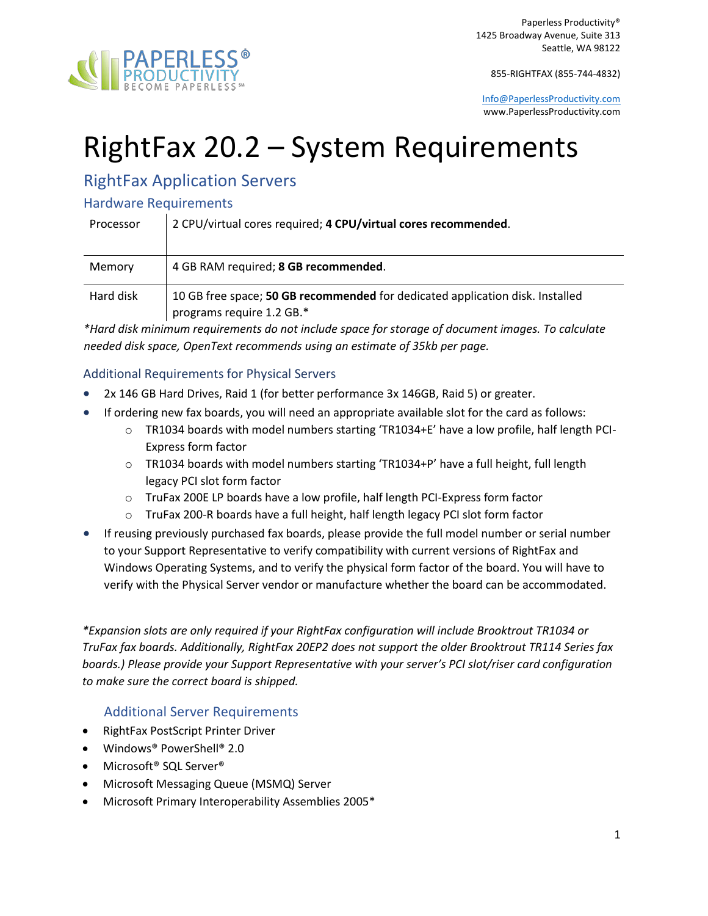

855-RIGHTFAX (855-744-4832)

[Info@PaperlessProductivity.com](mailto:Info@PaperlessProductivity.com) www.PaperlessProductivity.com

# RightFax 20.2 – System Requirements

# RightFax Application Servers

### Hardware Requirements

| Processor | 2 CPU/virtual cores required; 4 CPU/virtual cores recommended.                                             |
|-----------|------------------------------------------------------------------------------------------------------------|
| Memory    | 4 GB RAM required; 8 GB recommended.                                                                       |
| Hard disk | 10 GB free space; 50 GB recommended for dedicated application disk. Installed<br>programs require 1.2 GB.* |

*\*Hard disk minimum requirements do not include space for storage of document images. To calculate needed disk space, OpenText recommends using an estimate of 35kb per page.* 

### Additional Requirements for Physical Servers

- 2x 146 GB Hard Drives, Raid 1 (for better performance 3x 146GB, Raid 5) or greater.
- If ordering new fax boards, you will need an appropriate available slot for the card as follows:
	- o TR1034 boards with model numbers starting 'TR1034+E' have a low profile, half length PCI-Express form factor
	- $\circ$  TR1034 boards with model numbers starting 'TR1034+P' have a full height, full length legacy PCI slot form factor
	- o TruFax 200E LP boards have a low profile, half length PCI-Express form factor
	- o TruFax 200-R boards have a full height, half length legacy PCI slot form factor
- If reusing previously purchased fax boards, please provide the full model number or serial number to your Support Representative to verify compatibility with current versions of RightFax and Windows Operating Systems, and to verify the physical form factor of the board. You will have to verify with the Physical Server vendor or manufacture whether the board can be accommodated.

*\*Expansion slots are only required if your RightFax configuration will include Brooktrout TR1034 or TruFax fax boards. Additionally, RightFax 20EP2 does not support the older Brooktrout TR114 Series fax boards.) Please provide your Support Representative with your server's PCI slot/riser card configuration to make sure the correct board is shipped.* 

### Additional Server Requirements

- RightFax PostScript Printer Driver
- Windows® PowerShell® 2.0
- Microsoft® SQL Server®
- Microsoft Messaging Queue (MSMQ) Server
- Microsoft Primary Interoperability Assemblies 2005\*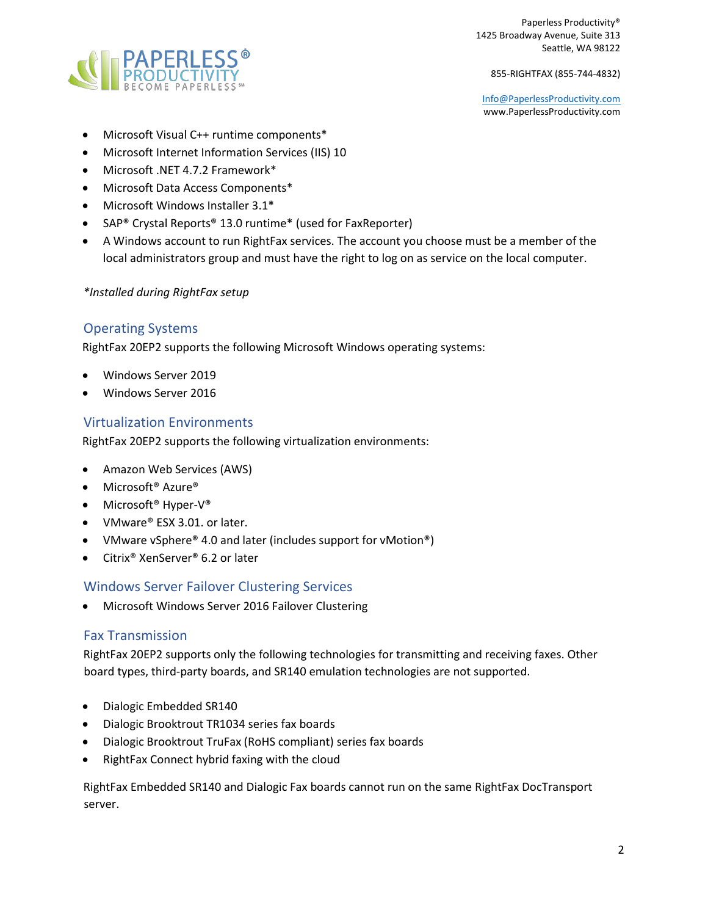

855-RIGHTFAX (855-744-4832)

[Info@PaperlessProductivity.com](mailto:Info@PaperlessProductivity.com) www.PaperlessProductivity.com

- Microsoft Visual C++ runtime components\*
- Microsoft Internet Information Services (IIS) 10
- Microsoft .NET 4.7.2 Framework\*
- Microsoft Data Access Components\*
- Microsoft Windows Installer 3.1\*
- SAP® Crystal Reports® 13.0 runtime\* (used for FaxReporter)
- A Windows account to run RightFax services. The account you choose must be a member of the local administrators group and must have the right to log on as service on the local computer.

#### *\*Installed during RightFax setup*

### Operating Systems

RightFax 20EP2 supports the following Microsoft Windows operating systems:

- Windows Server 2019
- Windows Server 2016

### Virtualization Environments

RightFax 20EP2 supports the following virtualization environments:

- Amazon Web Services (AWS)
- Microsoft<sup>®</sup> Azure<sup>®</sup>
- Microsoft® Hyper-V®
- VMware® ESX 3.01. or later.
- VMware vSphere<sup>®</sup> 4.0 and later (includes support for vMotion<sup>®</sup>)
- Citrix® XenServer® 6.2 or later

### Windows Server Failover Clustering Services

• Microsoft Windows Server 2016 Failover Clustering

#### Fax Transmission

RightFax 20EP2 supports only the following technologies for transmitting and receiving faxes. Other board types, third-party boards, and SR140 emulation technologies are not supported.

- Dialogic Embedded SR140
- Dialogic Brooktrout TR1034 series fax boards
- Dialogic Brooktrout TruFax (RoHS compliant) series fax boards
- RightFax Connect hybrid faxing with the cloud

RightFax Embedded SR140 and Dialogic Fax boards cannot run on the same RightFax DocTransport server.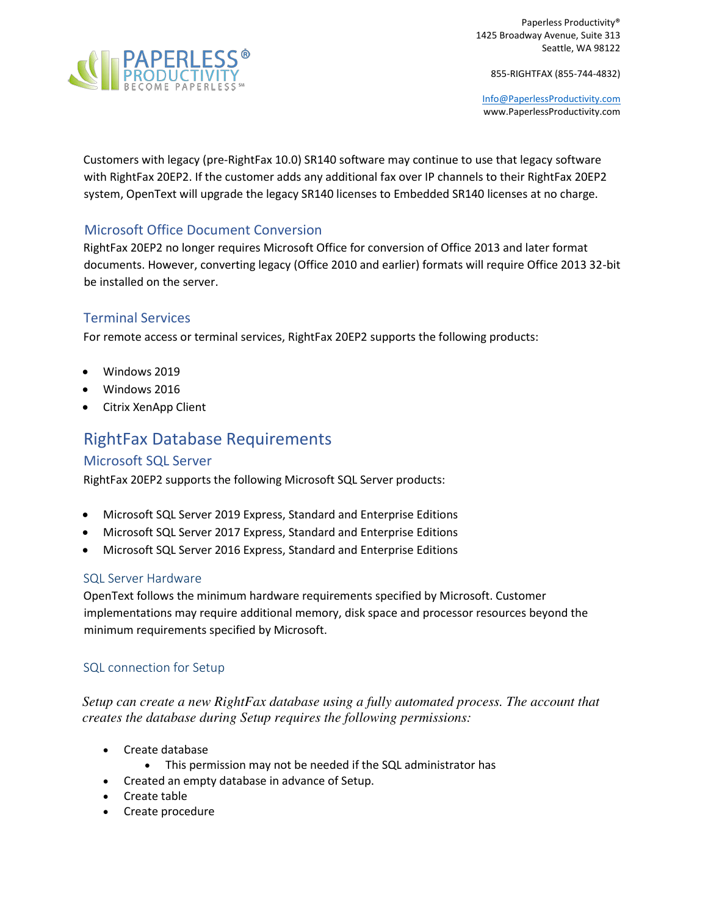

855-RIGHTFAX (855-744-4832)

[Info@PaperlessProductivity.com](mailto:Info@PaperlessProductivity.com) www.PaperlessProductivity.com

Customers with legacy (pre-RightFax 10.0) SR140 software may continue to use that legacy software with RightFax 20EP2. If the customer adds any additional fax over IP channels to their RightFax 20EP2 system, OpenText will upgrade the legacy SR140 licenses to Embedded SR140 licenses at no charge.

## Microsoft Office Document Conversion

RightFax 20EP2 no longer requires Microsoft Office for conversion of Office 2013 and later format documents. However, converting legacy (Office 2010 and earlier) formats will require Office 2013 32-bit be installed on the server.

## Terminal Services

For remote access or terminal services, RightFax 20EP2 supports the following products:

- Windows 2019
- Windows 2016
- Citrix XenApp Client

# RightFax Database Requirements

### Microsoft SQL Server

RightFax 20EP2 supports the following Microsoft SQL Server products:

- Microsoft SQL Server 2019 Express, Standard and Enterprise Editions
- Microsoft SQL Server 2017 Express, Standard and Enterprise Editions
- Microsoft SQL Server 2016 Express, Standard and Enterprise Editions

#### SQL Server Hardware

OpenText follows the minimum hardware requirements specified by Microsoft. Customer implementations may require additional memory, disk space and processor resources beyond the minimum requirements specified by Microsoft.

### SQL connection for Setup

*Setup can create a new RightFax database using a fully automated process. The account that creates the database during Setup requires the following permissions:*

- Create database
	- This permission may not be needed if the SQL administrator has
- Created an empty database in advance of Setup.
- Create table
- Create procedure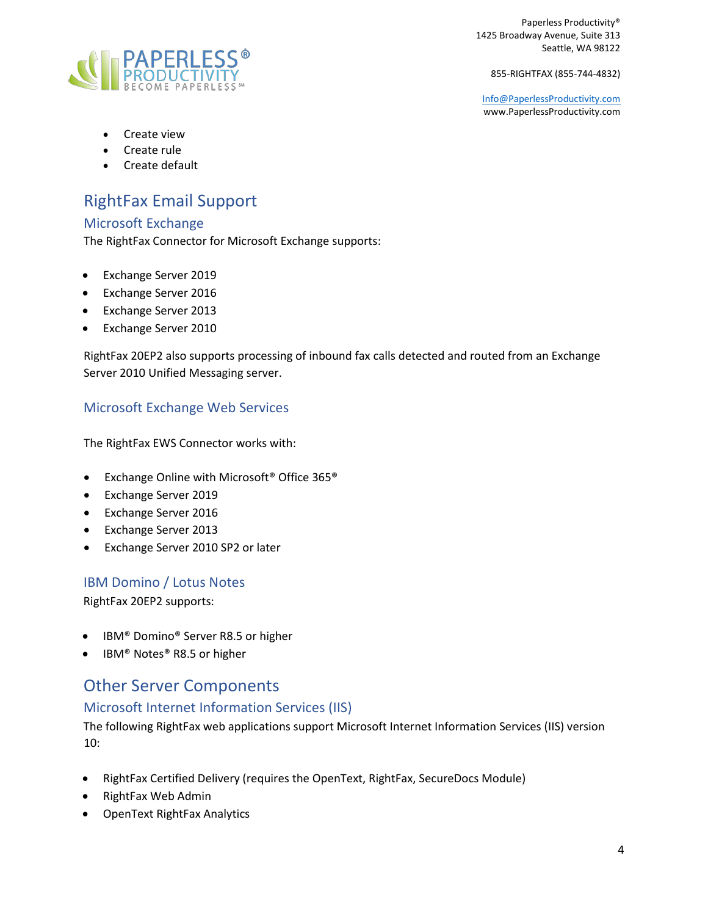

855-RIGHTFAX (855-744-4832)

[Info@PaperlessProductivity.com](mailto:Info@PaperlessProductivity.com) www.PaperlessProductivity.com

- Create view
- Create rule
- Create default

# RightFax Email Support

### Microsoft Exchange

The RightFax Connector for Microsoft Exchange supports:

- Exchange Server 2019
- Exchange Server 2016
- Exchange Server 2013
- Exchange Server 2010

RightFax 20EP2 also supports processing of inbound fax calls detected and routed from an Exchange Server 2010 Unified Messaging server.

# Microsoft Exchange Web Services

The RightFax EWS Connector works with:

- Exchange Online with Microsoft<sup>®</sup> Office 365<sup>®</sup>
- Exchange Server 2019
- Exchange Server 2016
- Exchange Server 2013
- Exchange Server 2010 SP2 or later

## IBM Domino / Lotus Notes

RightFax 20EP2 supports:

- IBM® Domino® Server R8.5 or higher
- IBM® Notes® R8.5 or higher

# Other Server Components

### Microsoft Internet Information Services (IIS)

The following RightFax web applications support Microsoft Internet Information Services (IIS) version 10:

- RightFax Certified Delivery (requires the OpenText, RightFax, SecureDocs Module)
- RightFax Web Admin
- OpenText RightFax Analytics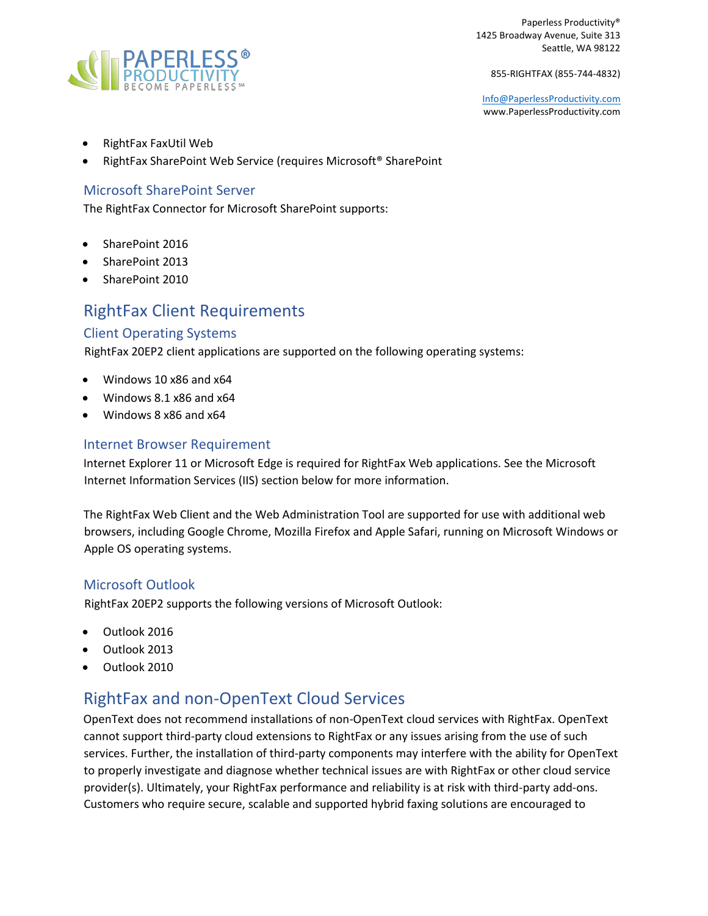

855-RIGHTFAX (855-744-4832)

[Info@PaperlessProductivity.com](mailto:Info@PaperlessProductivity.com) www.PaperlessProductivity.com

- RightFax FaxUtil Web
- RightFax SharePoint Web Service (requires Microsoft® SharePoint

### Microsoft SharePoint Server

The RightFax Connector for Microsoft SharePoint supports:

- SharePoint 2016
- SharePoint 2013
- SharePoint 2010

# RightFax Client Requirements

#### Client Operating Systems

RightFax 20EP2 client applications are supported on the following operating systems:

- Windows 10 x86 and x64
- Windows 8.1 x86 and x64
- Windows 8 x86 and x64

#### Internet Browser Requirement

Internet Explorer 11 or Microsoft Edge is required for RightFax Web applications. See the Microsoft Internet Information Services (IIS) section below for more information.

The RightFax Web Client and the Web Administration Tool are supported for use with additional web browsers, including Google Chrome, Mozilla Firefox and Apple Safari, running on Microsoft Windows or Apple OS operating systems.

### Microsoft Outlook

RightFax 20EP2 supports the following versions of Microsoft Outlook:

- Outlook 2016
- Outlook 2013
- Outlook 2010

# RightFax and non-OpenText Cloud Services

OpenText does not recommend installations of non-OpenText cloud services with RightFax. OpenText cannot support third-party cloud extensions to RightFax or any issues arising from the use of such services. Further, the installation of third-party components may interfere with the ability for OpenText to properly investigate and diagnose whether technical issues are with RightFax or other cloud service provider(s). Ultimately, your RightFax performance and reliability is at risk with third-party add-ons. Customers who require secure, scalable and supported hybrid faxing solutions are encouraged to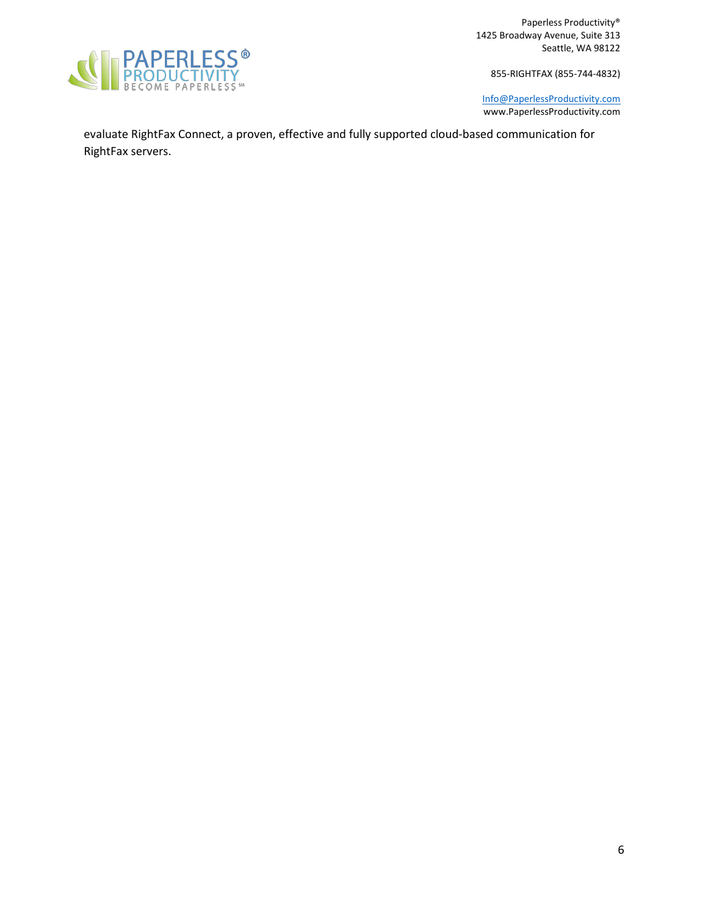

855-RIGHTFAX (855-744-4832)

[Info@PaperlessProductivity.com](mailto:Info@PaperlessProductivity.com) www.PaperlessProductivity.com

evaluate RightFax Connect, a proven, effective and fully supported cloud-based communication for RightFax servers.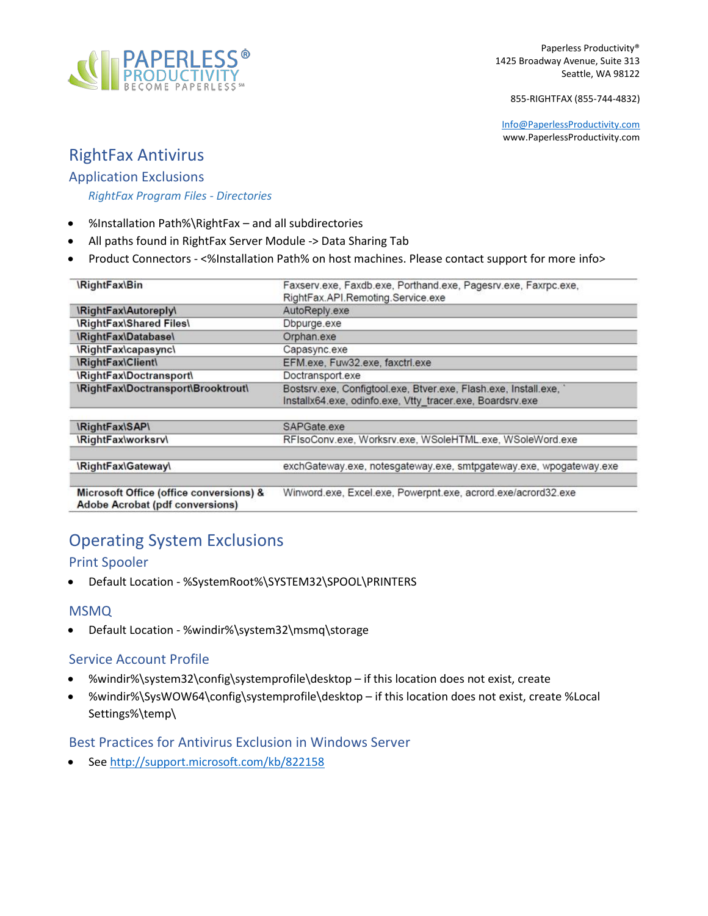

855-RIGHTFAX (855-744-4832)

[Info@PaperlessProductivity.com](mailto:Info@PaperlessProductivity.com) www.PaperlessProductivity.com

# RightFax Antivirus

### Application Exclusions

### *RightFax Program Files - Directories*

- %Installation Path%\RightFax and all subdirectories
- All paths found in RightFax Server Module -> Data Sharing Tab
- Product Connectors <%Installation Path% on host machines. Please contact support for more info>

| <i><b>RightFax\Bin</b></i>                                                 | Faxserv.exe, Faxdb.exe, Porthand.exe, Pagesrv.exe, Faxrpc.exe,<br>RightFax.API.Remoting.Service.exe                            |
|----------------------------------------------------------------------------|--------------------------------------------------------------------------------------------------------------------------------|
| \RightFax\Autoreply\                                                       | AutoReply.exe                                                                                                                  |
| <b>\RightFax\Shared Files\</b>                                             | Dbpurge.exe                                                                                                                    |
| \RightFax\Database\                                                        | Orphan.exe                                                                                                                     |
| \RightFax\capasync\                                                        | Capasync.exe                                                                                                                   |
| <b>\RightFax\Client\</b>                                                   | EFM.exe, Fuw32.exe, faxctrl.exe                                                                                                |
| \RightFax\Doctransport\                                                    | Doctransport.exe                                                                                                               |
| \RightFax\Doctransport\Brooktrout\                                         | Bostsrv.exe, Configtool.exe, Btver.exe, Flash.exe, Install.exe, '<br>Installx64.exe, odinfo.exe, Vtty_tracer.exe, Boardsrv.exe |
| <i><b>IRightFaxISAPI</b></i>                                               | SAPGate exe                                                                                                                    |
| <b>\RightFax\worksrv\</b>                                                  | RFIsoConv.exe, Worksrv.exe, WSoleHTML.exe, WSoleWord.exe                                                                       |
| \RightFax\Gateway\                                                         | exchGateway.exe, notesgateway.exe, smtpgateway.exe, wpogateway.exe                                                             |
| Microsoft Office (office conversions) &<br>Adobe Acrobat (pdf conversions) | Winword.exe, Excel.exe, Powerpnt.exe, acrord.exe/acrord32.exe                                                                  |

# Operating System Exclusions

## Print Spooler

• Default Location - %SystemRoot%\SYSTEM32\SPOOL\PRINTERS

### MSMQ

• Default Location - %windir%\system32\msmq\storage

## Service Account Profile

- %windir%\system32\config\systemprofile\desktop if this location does not exist, create
- %windir%\SysWOW64\config\systemprofile\desktop if this location does not exist, create %Local Settings%\temp\

### Best Practices for Antivirus Exclusion in Windows Server

• See<http://support.microsoft.com/kb/822158>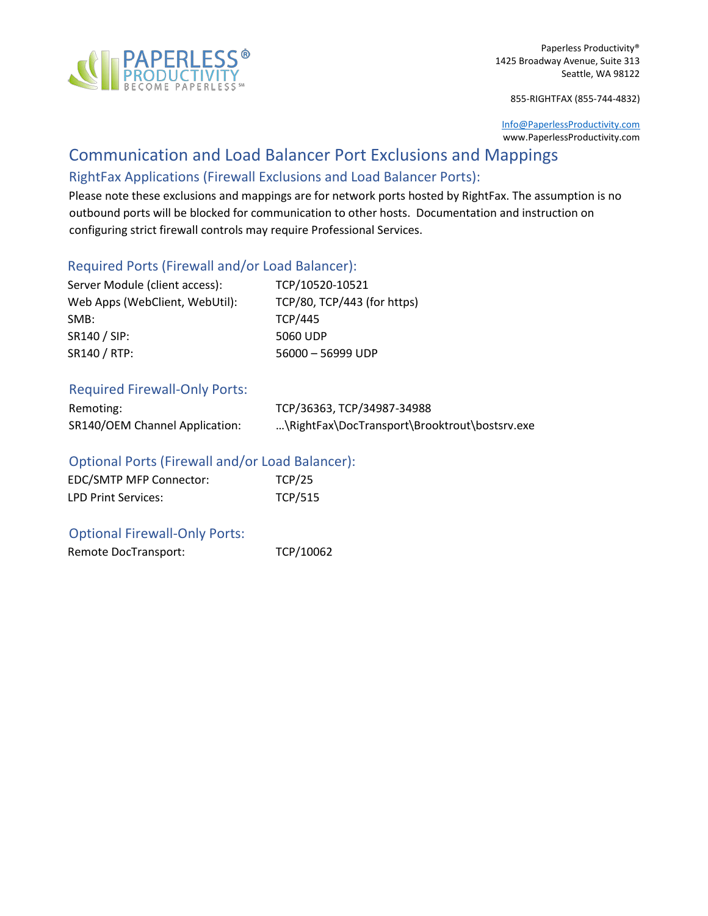

855-RIGHTFAX (855-744-4832)

[Info@PaperlessProductivity.com](mailto:Info@PaperlessProductivity.com) www.PaperlessProductivity.com

# Communication and Load Balancer Port Exclusions and Mappings

# RightFax Applications (Firewall Exclusions and Load Balancer Ports):

Please note these exclusions and mappings are for network ports hosted by RightFax. The assumption is no outbound ports will be blocked for communication to other hosts. Documentation and instruction on configuring strict firewall controls may require Professional Services.

## Required Ports (Firewall and/or Load Balancer):

| Server Module (client access): | TCP/10520-10521             |
|--------------------------------|-----------------------------|
| Web Apps (WebClient, WebUtil): | TCP/80, TCP/443 (for https) |
| SMB:                           | <b>TCP/445</b>              |
| SR140 / SIP:                   | 5060 UDP                    |
| SR140 / RTP:                   | 56000 - 56999 UDP           |

#### Required Firewall-Only Ports:

| Remoting:                      | TCP/36363, TCP/34987-34988                    |
|--------------------------------|-----------------------------------------------|
| SR140/OEM Channel Application: | \RightFax\DocTransport\Brooktrout\bostsrv.exe |

### Optional Ports (Firewall and/or Load Balancer):

| EDC/SMTP MFP Connector:    | TCP/25         |
|----------------------------|----------------|
| <b>LPD Print Services:</b> | <b>TCP/515</b> |

### Optional Firewall-Only Ports:

Remote DocTransport: TCP/10062